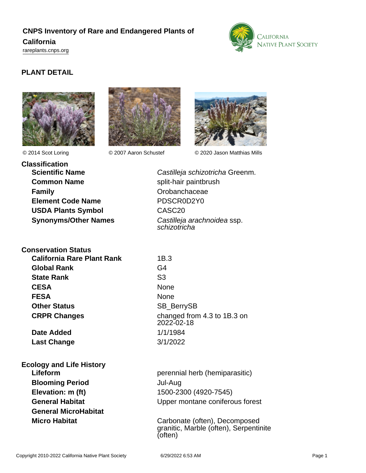# **CNPS Inventory of Rare and Endangered Plants of California**



<rareplants.cnps.org>

# **PLANT DETAIL**







© 2014 Scot Loring © 2007 Aaron Schustef © 2020 Jason Matthias Mills

**Classification Scientific Name** Castilleja schizotricha Greenm. **Common Name** split-hair paintbrush **Family** Crobanchaceae **Element Code Name** PDSCR0D2Y0 **USDA Plants Symbol** CASC20

**Synonyms/Other Names** Castilleja arachnoidea ssp. schizotricha

#### **Conservation Status California Rare Plant Rank** 1B.3

**Global Rank** G4 **State Rank** S3 **CESA** None **FESA** None **Other Status** SB BerrySB

**Date Added** 1/1/1984 **Last Change** 3/1/2022

**Ecology and Life History Blooming Period** Jul-Aug **Elevation: m (ft)** 1500-2300 (4920-7545) **General MicroHabitat**

**CRPR Changes** changed from 4.3 to 1B.3 on 2022-02-18

**Lifeform perennial herb (hemiparasitic) General Habitat** Community Construction Upper montane coniferous forest

**Micro Habitat** Carbonate (often), Decomposed granitic, Marble (often), Serpentinite (often)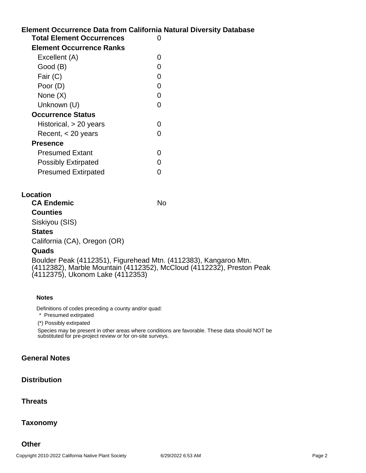## **Element Occurrence Data from California Natural Diversity Database Total Element Occurrences** 0 **Element Occurrence Ranks**

| Element Occurrence Ranks   |   |
|----------------------------|---|
| Excellent (A)              |   |
| Good (B)                   |   |
| Fair (C)                   |   |
| Poor (D)                   | O |
| None $(X)$                 |   |
| Unknown (U)                |   |
| <b>Occurrence Status</b>   |   |
| Historical, $> 20$ years   |   |
| Recent, $<$ 20 years       |   |
| Presence                   |   |
| <b>Presumed Extant</b>     |   |
| <b>Possibly Extirpated</b> |   |
| <b>Presumed Extirpated</b> |   |
|                            |   |

## **Location**

**CA Endemic** No

**Counties** Siskiyou (SIS)

#### **States**

California (CA), Oregon (OR)

## **Quads**

Boulder Peak (4112351), Figurehead Mtn. (4112383), Kangaroo Mtn. (4112382), Marble Mountain (4112352), McCloud (4112232), Preston Peak (4112375), Ukonom Lake (4112353)

#### **Notes**

Definitions of codes preceding a county and/or quad:

\* Presumed extirpated

(\*) Possibly extirpated

Species may be present in other areas where conditions are favorable. These data should NOT be substituted for pre-project review or for on-site surveys.

## **General Notes**

## **Distribution**

## **Threats**

## **Taxonomy**

**Other**